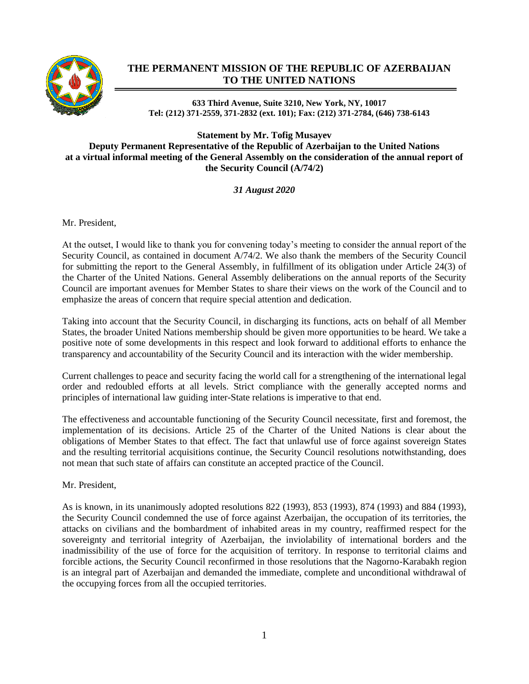

## **THE PERMANENT MISSION OF THE REPUBLIC OF AZERBAIJAN TO THE UNITED NATIONS**

**633 Third Avenue, Suite 3210, New York, NY, 10017 Tel: (212) 371-2559, 371-2832 (ext. 101); Fax: (212) 371-2784, (646) 738-6143**

**Statement by Mr. Tofig Musayev Deputy Permanent Representative of the Republic of Azerbaijan to the United Nations at a virtual informal meeting of the General Assembly on the consideration of the annual report of the Security Council (A/74/2)**

*31 August 2020*

Mr. President,

At the outset, I would like to thank you for convening today's meeting to consider the annual report of the Security Council, as contained in document A/74/2. We also thank the members of the Security Council for submitting the report to the General Assembly, in fulfillment of its obligation under Article 24(3) of the Charter of the United Nations. General Assembly deliberations on the annual reports of the Security Council are important avenues for Member States to share their views on the work of the Council and to emphasize the areas of concern that require special attention and dedication.

Taking into account that the Security Council, in discharging its functions, acts on behalf of all Member States, the broader United Nations membership should be given more opportunities to be heard. We take a positive note of some developments in this respect and look forward to additional efforts to enhance the transparency and accountability of the Security Council and its interaction with the wider membership.

Current challenges to peace and security facing the world call for a strengthening of the international legal order and redoubled efforts at all levels. Strict compliance with the generally accepted norms and principles of international law guiding inter-State relations is imperative to that end.

The effectiveness and accountable functioning of the Security Council necessitate, first and foremost, the implementation of its decisions. Article 25 of the Charter of the United Nations is clear about the obligations of Member States to that effect. The fact that unlawful use of force against sovereign States and the resulting territorial acquisitions continue, the Security Council resolutions notwithstanding, does not mean that such state of affairs can constitute an accepted practice of the Council.

Mr. President,

As is known, in its unanimously adopted resolutions 822 (1993), 853 (1993), 874 (1993) and 884 (1993), the Security Council condemned the use of force against Azerbaijan, the occupation of its territories, the attacks on civilians and the bombardment of inhabited areas in my country, reaffirmed respect for the sovereignty and territorial integrity of Azerbaijan, the inviolability of international borders and the inadmissibility of the use of force for the acquisition of territory. In response to territorial claims and forcible actions, the Security Council reconfirmed in those resolutions that the Nagorno-Karabakh region is an integral part of Azerbaijan and demanded the immediate, complete and unconditional withdrawal of the occupying forces from all the occupied territories.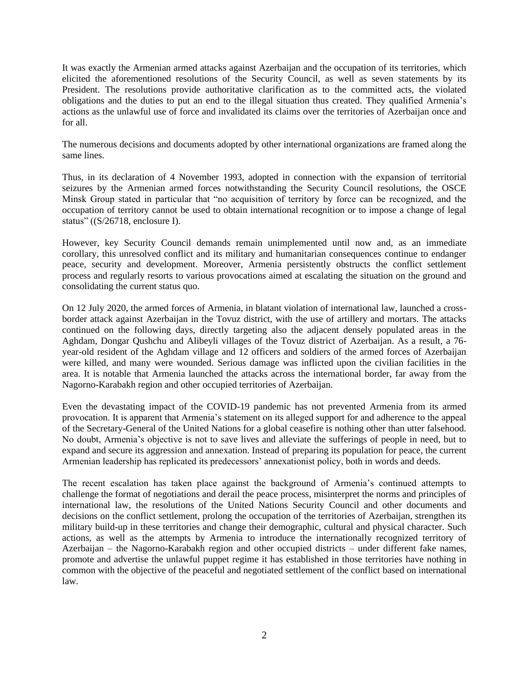It was exactly the Armenian armed attacks against Azerbaijan and the occupation of its territories, which elicited the aforementioned resolutions of the Security Council, as well as seven statements by its President. The resolutions provide authoritative clarification as to the committed acts, the violated obligations and the duties to put an end to the illegal situation thus created. They qualified Armenia's actions as the unlawful use of force and invalidated its claims over the territories of Azerbaijan once and for all.

The numerous decisions and documents adopted by other international organizations are framed along the same lines.

Thus, in its declaration of 4 November 1993, adopted in connection with the expansion of territorial seizures by the Armenian armed forces notwithstanding the Security Council resolutions, the OSCE Minsk Group stated in particular that "no acquisition of territory by force can be recognized, and the occupation of territory cannot be used to obtain international recognition or to impose a change of legal status" ((S/26718, enclosure I).

However, key Security Council demands remain unimplemented until now and, as an immediate corollary, this unresolved conflict and its military and humanitarian consequences continue to endanger peace, security and development. Moreover, Armenia persistently obstructs the conflict settlement process and regularly resorts to various provocations aimed at escalating the situation on the ground and consolidating the current status quo.

On 12 July 2020, the armed forces of Armenia, in blatant violation of international law, launched a crossborder attack against Azerbaijan in the Tovuz district, with the use of artillery and mortars. The attacks continued on the following days, directly targeting also the adjacent densely populated areas in the Aghdam, Dongar Qushchu and Alibeyli villages of the Tovuz district of Azerbaijan. As a result, a 76 year-old resident of the Aghdam village and 12 officers and soldiers of the armed forces of Azerbaijan were killed, and many were wounded. Serious damage was inflicted upon the civilian facilities in the area. It is notable that Armenia launched the attacks across the international border, far away from the Nagorno-Karabakh region and other occupied territories of Azerbaijan.

Even the devastating impact of the COVID-19 pandemic has not prevented Armenia from its armed provocation. It is apparent that Armenia's statement on its alleged support for and adherence to the appeal of the Secretary-General of the United Nations for a global ceasefire is nothing other than utter falsehood. No doubt, Armenia's objective is not to save lives and alleviate the sufferings of people in need, but to expand and secure its aggression and annexation. Instead of preparing its population for peace, the current Armenian leadership has replicated its predecessors' annexationist policy, both in words and deeds.

The recent escalation has taken place against the background of Armenia's continued attempts to challenge the format of negotiations and derail the peace process, misinterpret the norms and principles of international law, the resolutions of the United Nations Security Council and other documents and decisions on the conflict settlement, prolong the occupation of the territories of Azerbaijan, strengthen its military build-up in these territories and change their demographic, cultural and physical character. Such actions, as well as the attempts by Armenia to introduce the internationally recognized territory of Azerbaijan – the Nagorno-Karabakh region and other occupied districts – under different fake names, promote and advertise the unlawful puppet regime it has established in those territories have nothing in common with the objective of the peaceful and negotiated settlement of the conflict based on international law.